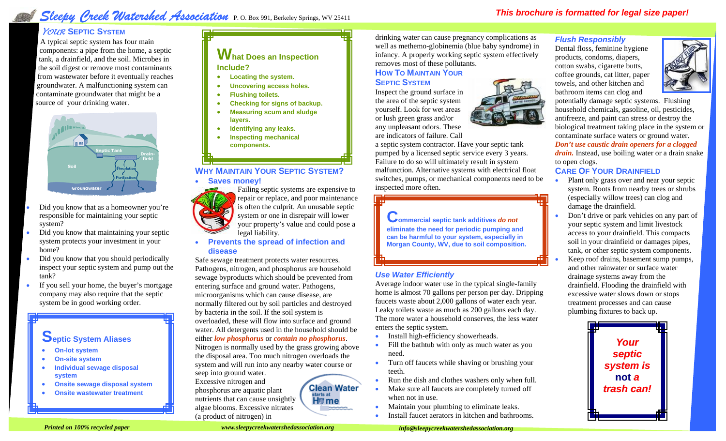# *Sleepy Creek Watershed Association*  P. O. Box 991, Berkeley Springs, WV 25411

# *YOUR***SEPTIC SYSTEM**

A typical septic system has four main components: a pipe from the home, a septic tank, a drainfield, and the soil. Microbes in the soil digest or remove most contaminants from wastewater before it eventually reaches groundwater. A malfunctioning system can contaminate groundwater that might be a source of your drinking water.



- Did you know that as a homeowner you're responsible for maintaining your septic system?
- Did you know that maintaining your septic system protects your investment in your home?
- Did you know that you should periodically inspect your septic system and pump out the tank?
- If you sell your home, the buyer's mortgage company may also require that the septic system be in good working order.

# **Septic System Aliases**

- **On-lot system**
- **On-site system**
- **Individual sewage disposal system**
- **Onsite sewage disposal system**
- **Onsite wastewater treatment**

**What Does an Inspection Include?**

- **Locating the system.**
- **Uncovering access holes.**
- **Flushing toilets.**
- **Checking for signs of backup.**
- **Measuring scum and sludge layers.**
- **Identifying any leaks.**
- **Inspecting mechanical components.**

# **WHY MAINTAIN YOUR SEPTIC SYSTEM?**

• **Saves money!**



• **Prevents the spread of infection and disease**

Safe sewage treatment protects water resources. Pathogens, nitrogen, and phosphorus are household sewage byproducts which should be prevented from entering surface and ground water. Pathogens, microorganisms which can cause disease, are normally filtered out by soil particles and destroyed by bacteria in the soil. If the soil system is overloaded, these will flow into surface and ground water. All detergents used in the household should be either *low phosphorus* or *contain no phosphorus*. Nitrogen is normally used by the grass growing above

the disposal area. Too much nitrogen overloads the system and will run into any nearby water course or seep into ground water.

> **Clean Water** starts at **H**erme

Excessive nitrogen and phosphorus are aquatic plant nutrients that can cause unsightly algae blooms. Excessive nitrates (a product of nitrogen) in

**SEPTICSYSTEM** Inspect the ground surface in the area of the septic system

removes most of these pollutants. **HOWTOMAINTAINYOUR**

yourself. Look for wet areas or lush green grass and/or any unpleasant odors. These are indicators of failure. Call

a septic system contractor. Have your septic tank pumped by a licensed septic service every 3 years. Failure to do so will ultimately result in system malfunction. Alternative systems with electrical float switches, pumps, or mechanical components need to be inspected more often.

drinking water can cause pregnancy complications as well as methemo-globinemia (blue baby syndrome) in infancy. A properly working septic system effectively

**Commercial septic tank additives** *do not*  **eliminate the need for periodic pumping and can be harmful to your system, especially in Morgan County, WV, due to soil composition.**

# *Use Water Efficiently*

Average indoor water use in the typical single-family home is almost 70 gallons per person per day. Dripping faucets waste about 2,000 gallons of water each year. Leaky toilets waste as much as 200 gallons each day. The more water a household conserves, the less water enters the septic system.

- Install high-efficiency showerheads.
- Fill the bathtub with only as much water as you need.
- Turn off faucets while shaving or brushing your teeth.
- Run the dish and clothes washers only when full.
- Make sure all faucets are completely turned off when not in use.
- Maintain your plumbing to eliminate leaks.
- Install faucet aerators in kitchen and bathrooms.

# *Flush Responsibly*

Dental floss, feminine hygiene products, condoms, diapers, cotton swabs, cigarette butts, coffee grounds, cat litter, paper towels, and other kitchen and bathroom items can clog and



potentially damage septic systems. Flushing household chemicals, gasoline, oil, pesticides, antifreeze, and paint can stress or destroy the biological treatment taking place in the system or contaminate surface waters or ground water.

*Don't use caustic drain openers for a clogged drain.* Instead, use boiling water or a drain snake to open clogs.

## **CARE OF YOUR DRAINFIELD**

- Plant only grass over and near your septic system. Roots from nearby trees or shrubs (especially willow trees) can clog and damage the drainfield.
- Don't drive or park vehicles on any part of your septic system and limit livestock access to your drainfield. This compacts soil in your drainfield or damages pipes, tank, or other septic system components.
- Keep roof drains, basement sump pumps, and other rainwater or surface water drainage systems away from the drainfield. Flooding the drainfield with excessive water slows down or stops treatment processes and can cause plumbing fixtures to back up.



**Printed on 100% recycled paper** in the second of the second www.sleepycreekwatershedassociation.org **imfo@sleepycreekwatershedassociation.org** *info@sleepycreekwatershedassociation.org www.sleepycreekwatershedassociation.org*